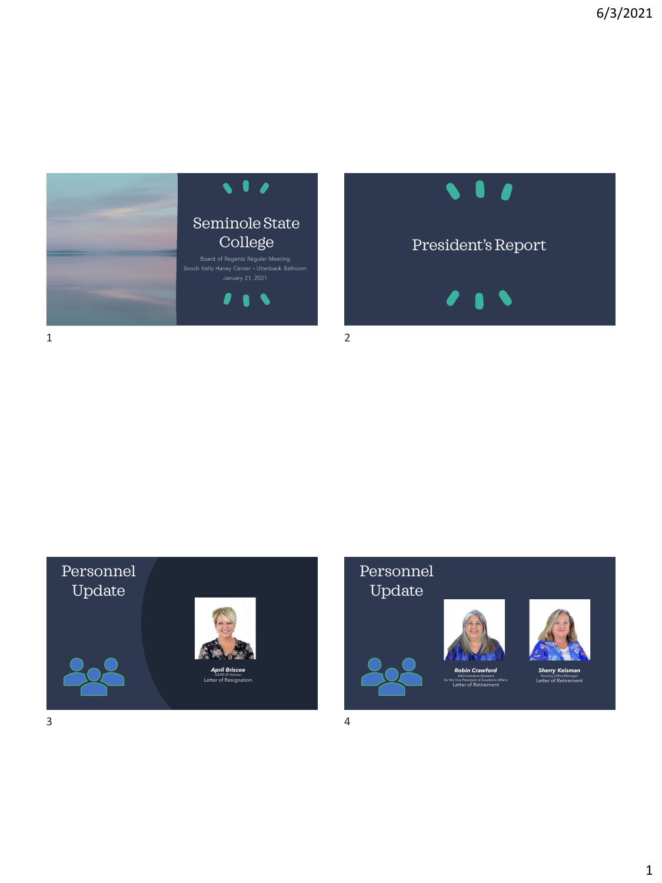





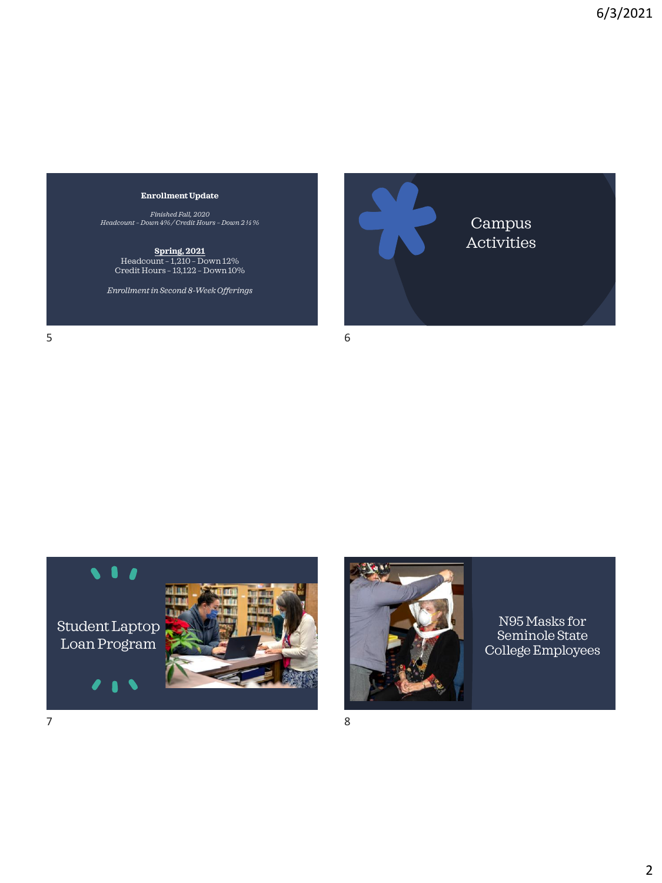#### **Enrollment Update**

*Finished Fall, 2020 Headcount – Down 4% / Credit Hours – Down 2 ½ %*

**Spring, 2021** Headcount – 1,210 – Down 12% Credit Hours – 13,122 – Down 10%

*Enrollment in Second 8-Week Offerings*

 $5$  6





N95 Masks for Seminole State College Employees

Campus **Activities**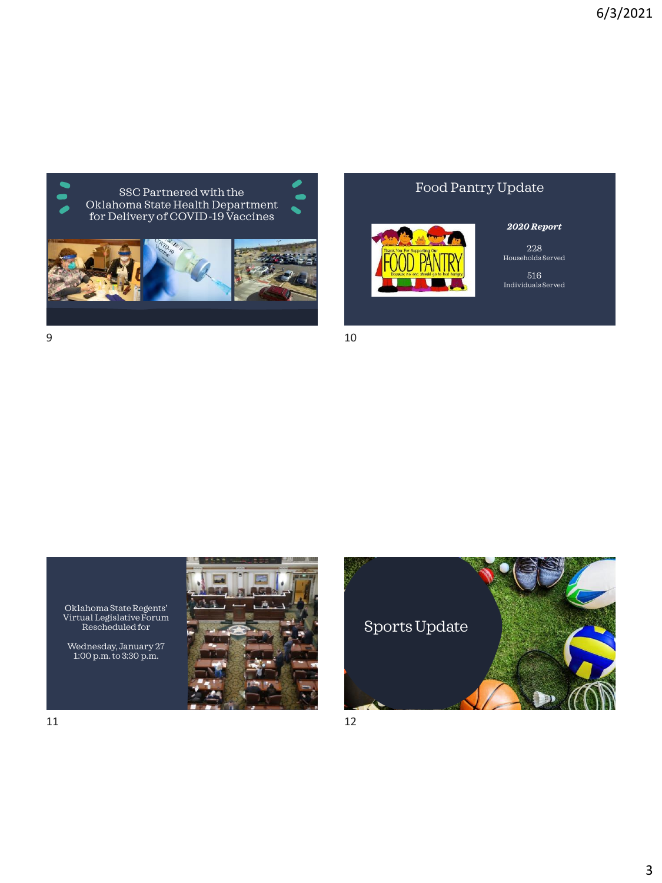

# Food Pantry Update



### *2020 Report*

228 Households Served

516 Individuals Served

 $9 \hspace{2.5cm} 10$ 



Oklahoma State Regents' Virtual Legislative Forum Rescheduled for

Wednesday, January 27 1:00 p.m. to 3:30 p.m.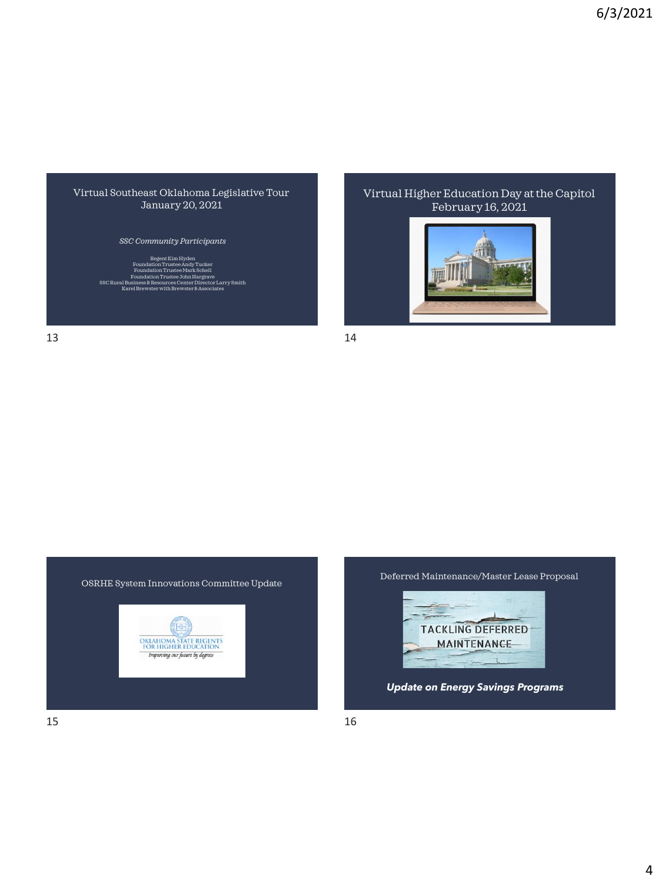#### Virtual Southeast Oklahoma Legislative Tour January 20, 2021

*SSC Community Participants*

Kim Hyde Foundation Trustee Andy Tucker Foundation Trustee Mark Schell Foundation Trustee John Hargrave SSC Rural Business & Resources Center Director Larry Smith Karel Brewster with Brewster & Associates February 16, 2021

Virtual Higher Education Day at the Capitol







13 14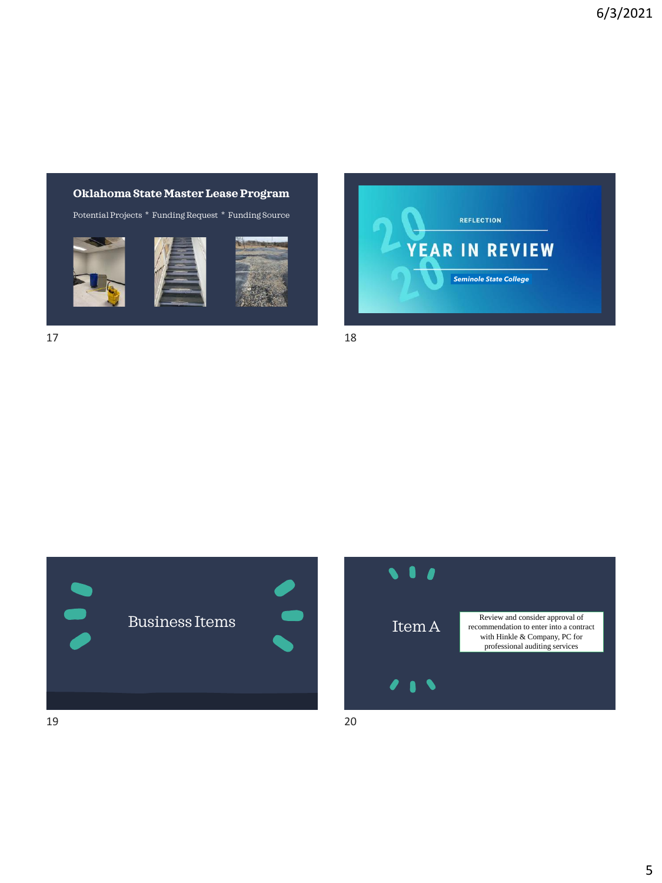## **Oklahoma State Master Lease Program**

Potential Projects \* Funding Request \* Funding Source







 $17$  and  $18$